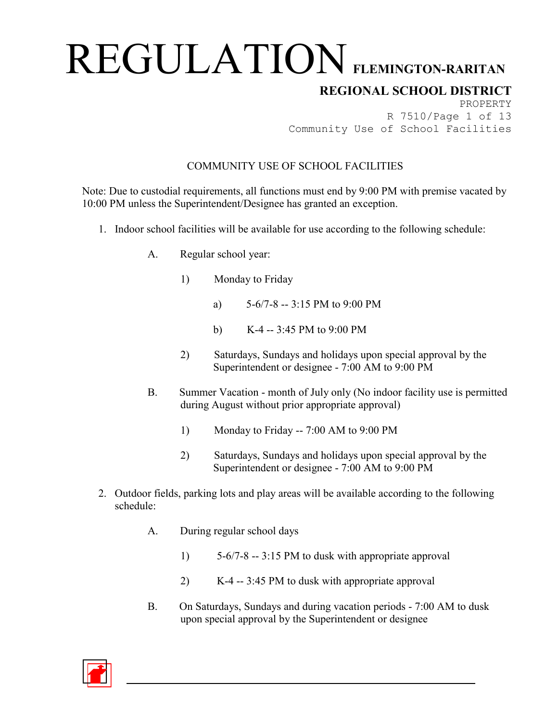## **REGIONAL SCHOOL DISTRICT**

PROPERTY R 7510/Page 1 of 13 Community Use of School Facilities

### COMMUNITY USE OF SCHOOL FACILITIES

Note: Due to custodial requirements, all functions must end by 9:00 PM with premise vacated by 10:00 PM unless the Superintendent/Designee has granted an exception.

- 1. Indoor school facilities will be available for use according to the following schedule:
	- A. Regular school year:
		- 1) Monday to Friday
			- a)  $5-6/7-8 = 3:15 \text{ PM}$  to 9:00 PM
			- b) K-4 -- 3:45 PM to 9:00 PM
		- 2) Saturdays, Sundays and holidays upon special approval by the Superintendent or designee - 7:00 AM to 9:00 PM
	- B. Summer Vacation month of July only (No indoor facility use is permitted during August without prior appropriate approval)
		- 1) Monday to Friday -- 7:00 AM to 9:00 PM
		- 2) Saturdays, Sundays and holidays upon special approval by the Superintendent or designee - 7:00 AM to 9:00 PM
- 2. Outdoor fields, parking lots and play areas will be available according to the following schedule:
	- A. During regular school days
		- 1) 5-6/7-8 -- 3:15 PM to dusk with appropriate approval
		- 2) K-4 -- 3:45 PM to dusk with appropriate approval
	- B. On Saturdays, Sundays and during vacation periods 7:00 AM to dusk upon special approval by the Superintendent or designee

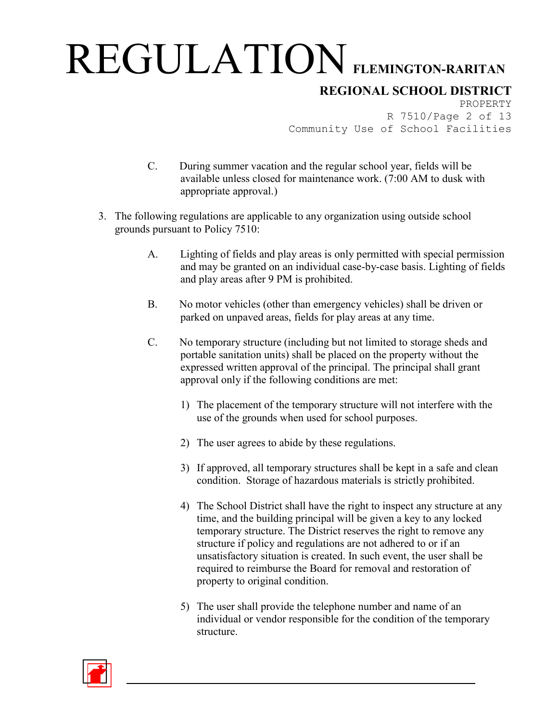### **REGIONAL SCHOOL DISTRICT**

PROPERTY R 7510/Page 2 of 13 Community Use of School Facilities

- C. During summer vacation and the regular school year, fields will be available unless closed for maintenance work. (7:00 AM to dusk with appropriate approval.)
- 3. The following regulations are applicable to any organization using outside school grounds pursuant to Policy 7510:
	- A. Lighting of fields and play areas is only permitted with special permission and may be granted on an individual case-by-case basis. Lighting of fields and play areas after 9 PM is prohibited.
	- B. No motor vehicles (other than emergency vehicles) shall be driven or parked on unpaved areas, fields for play areas at any time.
	- C. No temporary structure (including but not limited to storage sheds and portable sanitation units) shall be placed on the property without the expressed written approval of the principal. The principal shall grant approval only if the following conditions are met:
		- 1) The placement of the temporary structure will not interfere with the use of the grounds when used for school purposes.
		- 2) The user agrees to abide by these regulations.
		- 3) If approved, all temporary structures shall be kept in a safe and clean condition. Storage of hazardous materials is strictly prohibited.
		- 4) The School District shall have the right to inspect any structure at any time, and the building principal will be given a key to any locked temporary structure. The District reserves the right to remove any structure if policy and regulations are not adhered to or if an unsatisfactory situation is created. In such event, the user shall be required to reimburse the Board for removal and restoration of property to original condition.
		- 5) The user shall provide the telephone number and name of an individual or vendor responsible for the condition of the temporary structure.

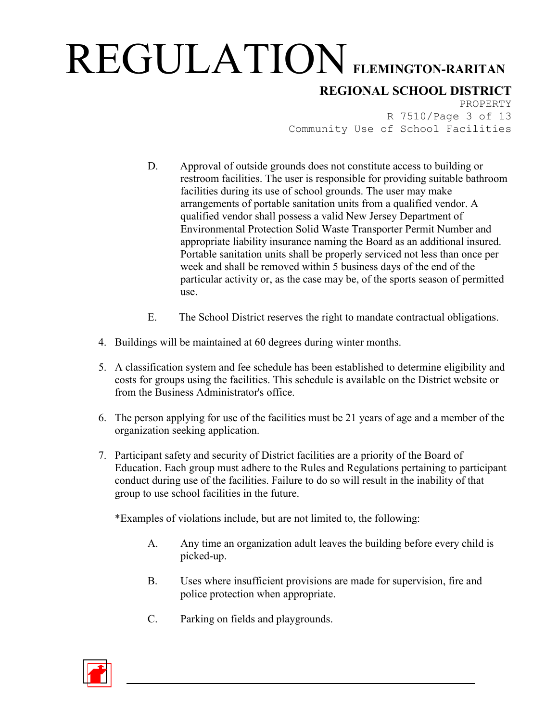**REGIONAL SCHOOL DISTRICT**

PROPERTY R 7510/Page 3 of 13 Community Use of School Facilities

- D. Approval of outside grounds does not constitute access to building or restroom facilities. The user is responsible for providing suitable bathroom facilities during its use of school grounds. The user may make arrangements of portable sanitation units from a qualified vendor. A qualified vendor shall possess a valid New Jersey Department of Environmental Protection Solid Waste Transporter Permit Number and appropriate liability insurance naming the Board as an additional insured. Portable sanitation units shall be properly serviced not less than once per week and shall be removed within 5 business days of the end of the particular activity or, as the case may be, of the sports season of permitted use.
- E. The School District reserves the right to mandate contractual obligations.
- 4. Buildings will be maintained at 60 degrees during winter months.
- 5. A classification system and fee schedule has been established to determine eligibility and costs for groups using the facilities. This schedule is available on the District website or from the Business Administrator's office.
- 6. The person applying for use of the facilities must be 21 years of age and a member of the organization seeking application.
- 7. Participant safety and security of District facilities are a priority of the Board of Education. Each group must adhere to the Rules and Regulations pertaining to participant conduct during use of the facilities. Failure to do so will result in the inability of that group to use school facilities in the future.

\*Examples of violations include, but are not limited to, the following:

- A. Any time an organization adult leaves the building before every child is picked-up.
- B. Uses where insufficient provisions are made for supervision, fire and police protection when appropriate.
- C. Parking on fields and playgrounds.

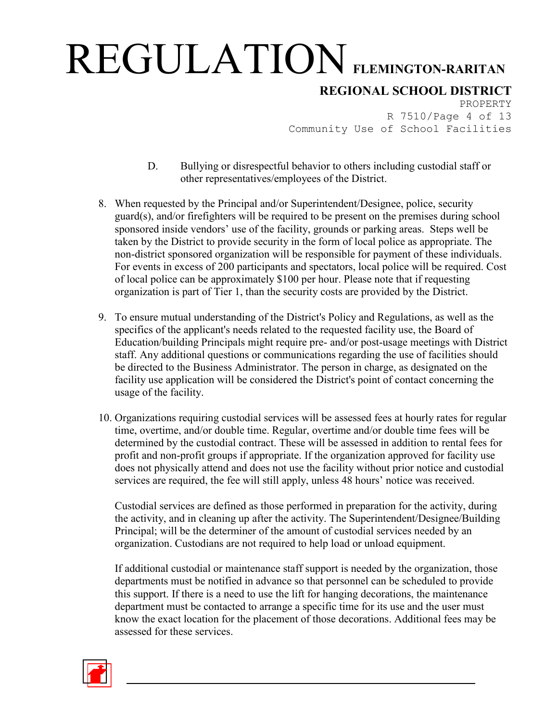### **REGIONAL SCHOOL DISTRICT**

PROPERTY R 7510/Page 4 of 13 Community Use of School Facilities

- D. Bullying or disrespectful behavior to others including custodial staff or other representatives/employees of the District.
- 8. When requested by the Principal and/or Superintendent/Designee, police, security guard(s), and/or firefighters will be required to be present on the premises during school sponsored inside vendors' use of the facility, grounds or parking areas. Steps well be taken by the District to provide security in the form of local police as appropriate. The non-district sponsored organization will be responsible for payment of these individuals. For events in excess of 200 participants and spectators, local police will be required. Cost of local police can be approximately \$100 per hour. Please note that if requesting organization is part of Tier 1, than the security costs are provided by the District.
- 9. To ensure mutual understanding of the District's Policy and Regulations, as well as the specifics of the applicant's needs related to the requested facility use, the Board of Education/building Principals might require pre- and/or post-usage meetings with District staff. Any additional questions or communications regarding the use of facilities should be directed to the Business Administrator. The person in charge, as designated on the facility use application will be considered the District's point of contact concerning the usage of the facility.
- 10. Organizations requiring custodial services will be assessed fees at hourly rates for regular time, overtime, and/or double time. Regular, overtime and/or double time fees will be determined by the custodial contract. These will be assessed in addition to rental fees for profit and non-profit groups if appropriate. If the organization approved for facility use does not physically attend and does not use the facility without prior notice and custodial services are required, the fee will still apply, unless 48 hours' notice was received.

Custodial services are defined as those performed in preparation for the activity, during the activity, and in cleaning up after the activity. The Superintendent/Designee/Building Principal; will be the determiner of the amount of custodial services needed by an organization. Custodians are not required to help load or unload equipment.

If additional custodial or maintenance staff support is needed by the organization, those departments must be notified in advance so that personnel can be scheduled to provide this support. If there is a need to use the lift for hanging decorations, the maintenance department must be contacted to arrange a specific time for its use and the user must know the exact location for the placement of those decorations. Additional fees may be assessed for these services.

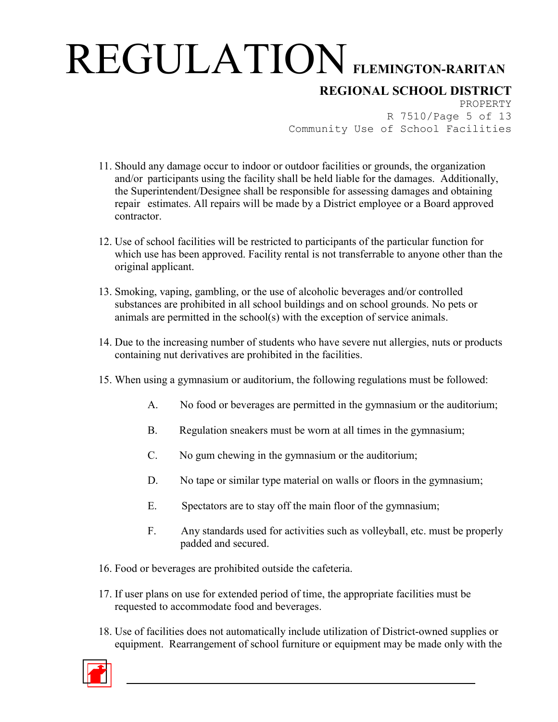## **REGIONAL SCHOOL DISTRICT**

PROPERTY R 7510/Page 5 of 13 Community Use of School Facilities

- 11. Should any damage occur to indoor or outdoor facilities or grounds, the organization and/or participants using the facility shall be held liable for the damages. Additionally, the Superintendent/Designee shall be responsible for assessing damages and obtaining repair estimates. All repairs will be made by a District employee or a Board approved contractor.
- 12. Use of school facilities will be restricted to participants of the particular function for which use has been approved. Facility rental is not transferrable to anyone other than the original applicant.
- 13. Smoking, vaping, gambling, or the use of alcoholic beverages and/or controlled substances are prohibited in all school buildings and on school grounds. No pets or animals are permitted in the school(s) with the exception of service animals.
- 14. Due to the increasing number of students who have severe nut allergies, nuts or products containing nut derivatives are prohibited in the facilities.
- 15. When using a gymnasium or auditorium, the following regulations must be followed:
	- A. No food or beverages are permitted in the gymnasium or the auditorium;
	- B. Regulation sneakers must be worn at all times in the gymnasium;
	- C. No gum chewing in the gymnasium or the auditorium;
	- D. No tape or similar type material on walls or floors in the gymnasium;
	- E. Spectators are to stay off the main floor of the gymnasium;
	- F. Any standards used for activities such as volleyball, etc. must be properly padded and secured.
- 16. Food or beverages are prohibited outside the cafeteria.
- 17. If user plans on use for extended period of time, the appropriate facilities must be requested to accommodate food and beverages.
- 18. Use of facilities does not automatically include utilization of District-owned supplies or equipment. Rearrangement of school furniture or equipment may be made only with the

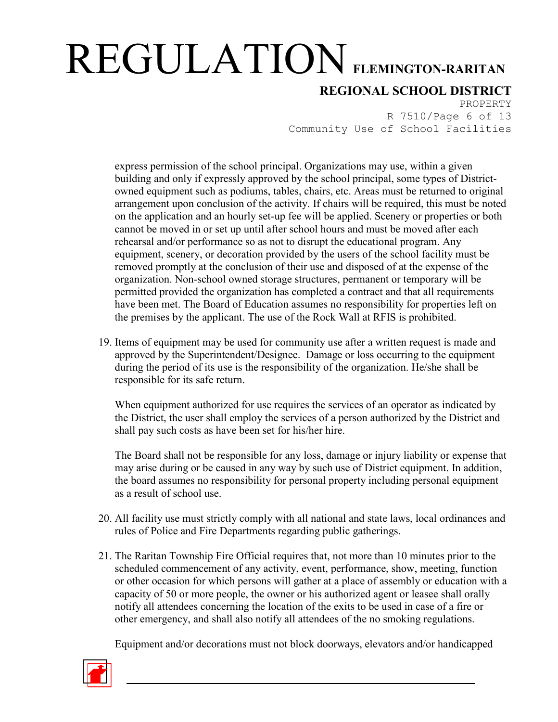**REGIONAL SCHOOL DISTRICT**

PROPERTY R 7510/Page 6 of 13 Community Use of School Facilities

express permission of the school principal. Organizations may use, within a given building and only if expressly approved by the school principal, some types of Districtowned equipment such as podiums, tables, chairs, etc. Areas must be returned to original arrangement upon conclusion of the activity. If chairs will be required, this must be noted on the application and an hourly set-up fee will be applied. Scenery or properties or both cannot be moved in or set up until after school hours and must be moved after each rehearsal and/or performance so as not to disrupt the educational program. Any equipment, scenery, or decoration provided by the users of the school facility must be removed promptly at the conclusion of their use and disposed of at the expense of the organization. Non-school owned storage structures, permanent or temporary will be permitted provided the organization has completed a contract and that all requirements have been met. The Board of Education assumes no responsibility for properties left on the premises by the applicant. The use of the Rock Wall at RFIS is prohibited.

19. Items of equipment may be used for community use after a written request is made and approved by the Superintendent/Designee. Damage or loss occurring to the equipment during the period of its use is the responsibility of the organization. He/she shall be responsible for its safe return.

When equipment authorized for use requires the services of an operator as indicated by the District, the user shall employ the services of a person authorized by the District and shall pay such costs as have been set for his/her hire.

The Board shall not be responsible for any loss, damage or injury liability or expense that may arise during or be caused in any way by such use of District equipment. In addition, the board assumes no responsibility for personal property including personal equipment as a result of school use.

- 20. All facility use must strictly comply with all national and state laws, local ordinances and rules of Police and Fire Departments regarding public gatherings.
- 21. The Raritan Township Fire Official requires that, not more than 10 minutes prior to the scheduled commencement of any activity, event, performance, show, meeting, function or other occasion for which persons will gather at a place of assembly or education with a capacity of 50 or more people, the owner or his authorized agent or leasee shall orally notify all attendees concerning the location of the exits to be used in case of a fire or other emergency, and shall also notify all attendees of the no smoking regulations.

Equipment and/or decorations must not block doorways, elevators and/or handicapped

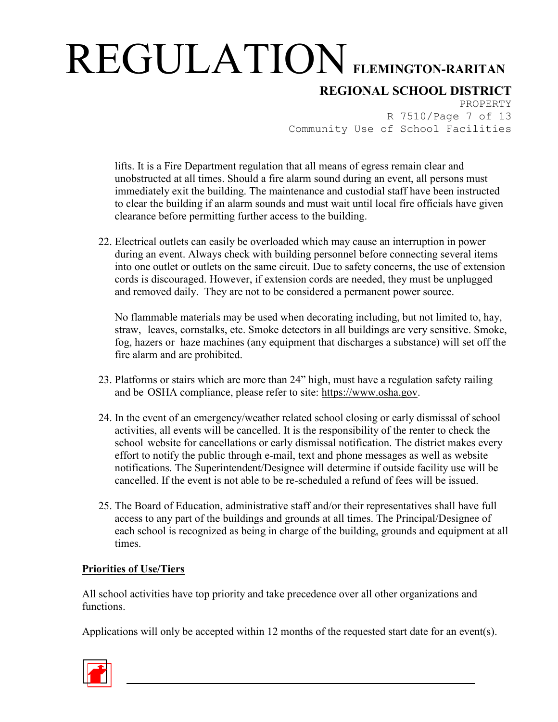## **REGIONAL SCHOOL DISTRICT**

PROPERTY R 7510/Page 7 of 13 Community Use of School Facilities

lifts. It is a Fire Department regulation that all means of egress remain clear and unobstructed at all times. Should a fire alarm sound during an event, all persons must immediately exit the building. The maintenance and custodial staff have been instructed to clear the building if an alarm sounds and must wait until local fire officials have given clearance before permitting further access to the building.

22. Electrical outlets can easily be overloaded which may cause an interruption in power during an event. Always check with building personnel before connecting several items into one outlet or outlets on the same circuit. Due to safety concerns, the use of extension cords is discouraged. However, if extension cords are needed, they must be unplugged and removed daily. They are not to be considered a permanent power source.

No flammable materials may be used when decorating including, but not limited to, hay, straw, leaves, cornstalks, etc. Smoke detectors in all buildings are very sensitive. Smoke, fog, hazers or haze machines (any equipment that discharges a substance) will set off the fire alarm and are prohibited.

- 23. Platforms or stairs which are more than 24" high, must have a regulation safety railing and be OSHA compliance, please refer to site: [https://www.osha.gov.](https://www.osha.gov/)
- 24. In the event of an emergency/weather related school closing or early dismissal of school activities, all events will be cancelled. It is the responsibility of the renter to check the school website for cancellations or early dismissal notification. The district makes every effort to notify the public through e-mail, text and phone messages as well as website notifications. The Superintendent/Designee will determine if outside facility use will be cancelled. If the event is not able to be re-scheduled a refund of fees will be issued.
- 25. The Board of Education, administrative staff and/or their representatives shall have full access to any part of the buildings and grounds at all times. The Principal/Designee of each school is recognized as being in charge of the building, grounds and equipment at all times.

### **Priorities of Use/Tiers**

All school activities have top priority and take precedence over all other organizations and functions.

Applications will only be accepted within 12 months of the requested start date for an event(s).

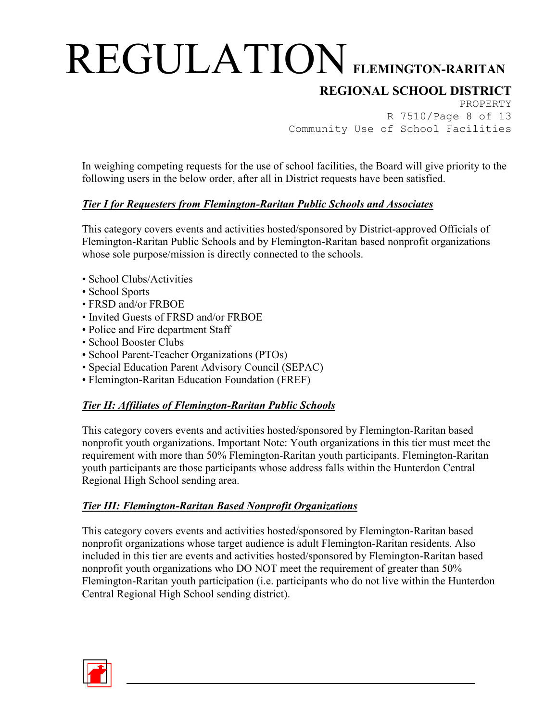## **REGIONAL SCHOOL DISTRICT**

PROPERTY R 7510/Page 8 of 13 Community Use of School Facilities

In weighing competing requests for the use of school facilities, the Board will give priority to the following users in the below order, after all in District requests have been satisfied.

### *Tier I for Requesters from Flemington-Raritan Public Schools and Associates*

This category covers events and activities hosted/sponsored by District-approved Officials of Flemington-Raritan Public Schools and by Flemington-Raritan based nonprofit organizations whose sole purpose/mission is directly connected to the schools.

- School Clubs/Activities
- School Sports
- FRSD and/or FRBOE
- Invited Guests of FRSD and/or FRBOE
- Police and Fire department Staff
- School Booster Clubs
- School Parent-Teacher Organizations (PTOs)
- Special Education Parent Advisory Council (SEPAC)
- Flemington-Raritan Education Foundation (FREF)

### *Tier II: Affiliates of Flemington-Raritan Public Schools*

This category covers events and activities hosted/sponsored by Flemington-Raritan based nonprofit youth organizations. Important Note: Youth organizations in this tier must meet the requirement with more than 50% Flemington-Raritan youth participants. Flemington-Raritan youth participants are those participants whose address falls within the Hunterdon Central Regional High School sending area.

### *Tier III: Flemington-Raritan Based Nonprofit Organizations*

This category covers events and activities hosted/sponsored by Flemington-Raritan based nonprofit organizations whose target audience is adult Flemington-Raritan residents. Also included in this tier are events and activities hosted/sponsored by Flemington-Raritan based nonprofit youth organizations who DO NOT meet the requirement of greater than 50% Flemington-Raritan youth participation (i.e. participants who do not live within the Hunterdon Central Regional High School sending district).

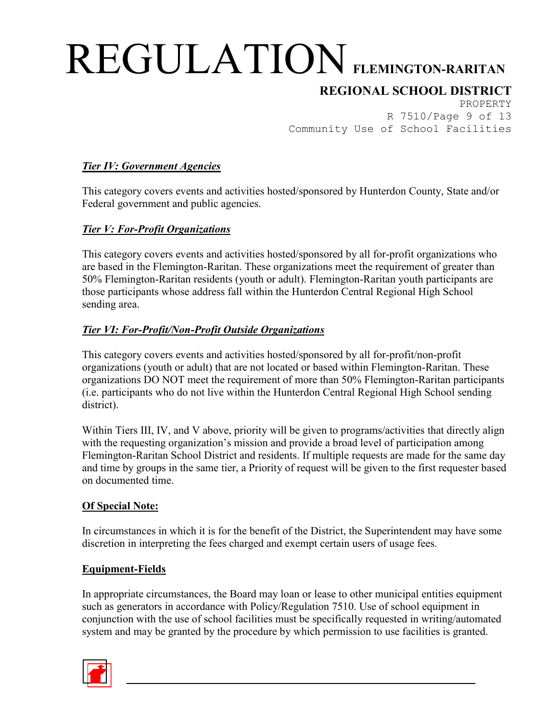## **REGIONAL SCHOOL DISTRICT**

PROPERTY R 7510/Page 9 of 13 Community Use of School Facilities

#### *Tier IV: Government Agencies*

This category covers events and activities hosted/sponsored by Hunterdon County, State and/or Federal government and public agencies.

#### *Tier V: For-Profit Organizations*

This category covers events and activities hosted/sponsored by all for-profit organizations who are based in the Flemington-Raritan. These organizations meet the requirement of greater than 50% Flemington-Raritan residents (youth or adult). Flemington-Raritan youth participants are those participants whose address fall within the Hunterdon Central Regional High School sending area.

#### *Tier VI: For-Profit/Non-Profit Outside Organizations*

This category covers events and activities hosted/sponsored by all for-profit/non-profit organizations (youth or adult) that are not located or based within Flemington-Raritan. These organizations DO NOT meet the requirement of more than 50% Flemington-Raritan participants (i.e. participants who do not live within the Hunterdon Central Regional High School sending district).

Within Tiers III, IV, and V above, priority will be given to programs/activities that directly align with the requesting organization's mission and provide a broad level of participation among Flemington-Raritan School District and residents. If multiple requests are made for the same day and time by groups in the same tier, a Priority of request will be given to the first requester based on documented time.

#### **Of Special Note:**

In circumstances in which it is for the benefit of the District, the Superintendent may have some discretion in interpreting the fees charged and exempt certain users of usage fees.

#### **Equipment-Fields**

In appropriate circumstances, the Board may loan or lease to other municipal entities equipment such as generators in accordance with Policy/Regulation 7510. Use of school equipment in conjunction with the use of school facilities must be specifically requested in writing/automated system and may be granted by the procedure by which permission to use facilities is granted.

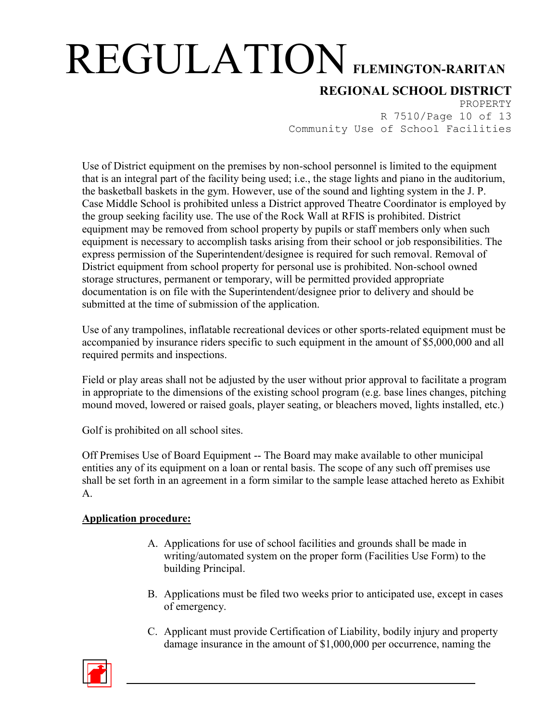## **REGIONAL SCHOOL DISTRICT**

PROPERTY R 7510/Page 10 of 13 Community Use of School Facilities

Use of District equipment on the premises by non-school personnel is limited to the equipment that is an integral part of the facility being used; i.e., the stage lights and piano in the auditorium, the basketball baskets in the gym. However, use of the sound and lighting system in the J. P. Case Middle School is prohibited unless a District approved Theatre Coordinator is employed by the group seeking facility use. The use of the Rock Wall at RFIS is prohibited. District equipment may be removed from school property by pupils or staff members only when such equipment is necessary to accomplish tasks arising from their school or job responsibilities. The express permission of the Superintendent/designee is required for such removal. Removal of District equipment from school property for personal use is prohibited. Non-school owned storage structures, permanent or temporary, will be permitted provided appropriate documentation is on file with the Superintendent/designee prior to delivery and should be submitted at the time of submission of the application.

Use of any trampolines, inflatable recreational devices or other sports-related equipment must be accompanied by insurance riders specific to such equipment in the amount of \$5,000,000 and all required permits and inspections.

Field or play areas shall not be adjusted by the user without prior approval to facilitate a program in appropriate to the dimensions of the existing school program (e.g. base lines changes, pitching mound moved, lowered or raised goals, player seating, or bleachers moved, lights installed, etc.)

Golf is prohibited on all school sites.

Off Premises Use of Board Equipment -- The Board may make available to other municipal entities any of its equipment on a loan or rental basis. The scope of any such off premises use shall be set forth in an agreement in a form similar to the sample lease attached hereto as Exhibit A.

### **Application procedure:**

- A. Applications for use of school facilities and grounds shall be made in writing/automated system on the proper form (Facilities Use Form) to the building Principal.
- B. Applications must be filed two weeks prior to anticipated use, except in cases of emergency.
- C. Applicant must provide Certification of Liability, bodily injury and property damage insurance in the amount of \$1,000,000 per occurrence, naming the

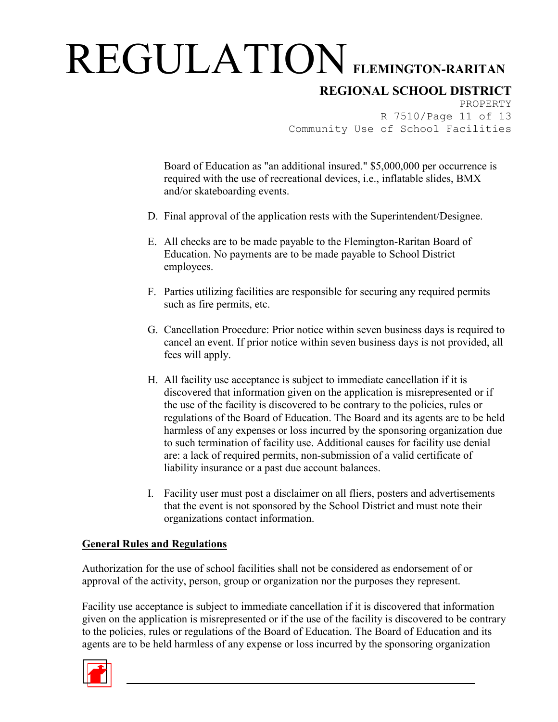## **REGIONAL SCHOOL DISTRICT**

PROPERTY R 7510/Page 11 of 13 Community Use of School Facilities

Board of Education as "an additional insured." \$5,000,000 per occurrence is required with the use of recreational devices, i.e., inflatable slides, BMX and/or skateboarding events.

- D. Final approval of the application rests with the Superintendent/Designee.
- E. All checks are to be made payable to the Flemington-Raritan Board of Education. No payments are to be made payable to School District employees.
- F. Parties utilizing facilities are responsible for securing any required permits such as fire permits, etc.
- G. Cancellation Procedure: Prior notice within seven business days is required to cancel an event. If prior notice within seven business days is not provided, all fees will apply.
- H. All facility use acceptance is subject to immediate cancellation if it is discovered that information given on the application is misrepresented or if the use of the facility is discovered to be contrary to the policies, rules or regulations of the Board of Education. The Board and its agents are to be held harmless of any expenses or loss incurred by the sponsoring organization due to such termination of facility use. Additional causes for facility use denial are: a lack of required permits, non-submission of a valid certificate of liability insurance or a past due account balances.
- I. Facility user must post a disclaimer on all fliers, posters and advertisements that the event is not sponsored by the School District and must note their organizations contact information.

#### **General Rules and Regulations**

Authorization for the use of school facilities shall not be considered as endorsement of or approval of the activity, person, group or organization nor the purposes they represent.

Facility use acceptance is subject to immediate cancellation if it is discovered that information given on the application is misrepresented or if the use of the facility is discovered to be contrary to the policies, rules or regulations of the Board of Education. The Board of Education and its agents are to be held harmless of any expense or loss incurred by the sponsoring organization

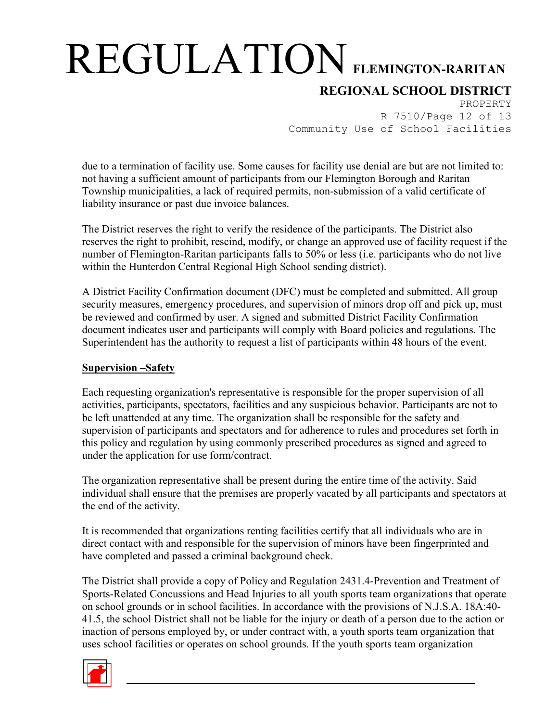## **REGIONAL SCHOOL DISTRICT**

PROPERTY R 7510/Page 12 of 13 Community Use of School Facilities

due to a termination of facility use. Some causes for facility use denial are but are not limited to: not having a sufficient amount of participants from our Flemington Borough and Raritan Township municipalities, a lack of required permits, non-submission of a valid certificate of liability insurance or past due invoice balances.

The District reserves the right to verify the residence of the participants. The District also reserves the right to prohibit, rescind, modify, or change an approved use of facility request if the number of Flemington-Raritan participants falls to 50% or less (i.e. participants who do not live within the Hunterdon Central Regional High School sending district).

A District Facility Confirmation document (DFC) must be completed and submitted. All group security measures, emergency procedures, and supervision of minors drop off and pick up, must be reviewed and confirmed by user. A signed and submitted District Facility Confirmation document indicates user and participants will comply with Board policies and regulations. The Superintendent has the authority to request a list of participants within 48 hours of the event.

#### **Supervision –Safety**

Each requesting organization's representative is responsible for the proper supervision of all activities, participants, spectators, facilities and any suspicious behavior. Participants are not to be left unattended at any time. The organization shall be responsible for the safety and supervision of participants and spectators and for adherence to rules and procedures set forth in this policy and regulation by using commonly prescribed procedures as signed and agreed to under the application for use form/contract.

The organization representative shall be present during the entire time of the activity. Said individual shall ensure that the premises are properly vacated by all participants and spectators at the end of the activity.

It is recommended that organizations renting facilities certify that all individuals who are in direct contact with and responsible for the supervision of minors have been fingerprinted and have completed and passed a criminal background check.

The District shall provide a copy of Policy and Regulation 2431.4-Prevention and Treatment of Sports-Related Concussions and Head Injuries to all youth sports team organizations that operate on school grounds or in school facilities. In accordance with the provisions of N.J.S.A. 18A:40- 41.5, the school District shall not be liable for the injury or death of a person due to the action or inaction of persons employed by, or under contract with, a youth sports team organization that uses school facilities or operates on school grounds. If the youth sports team organization